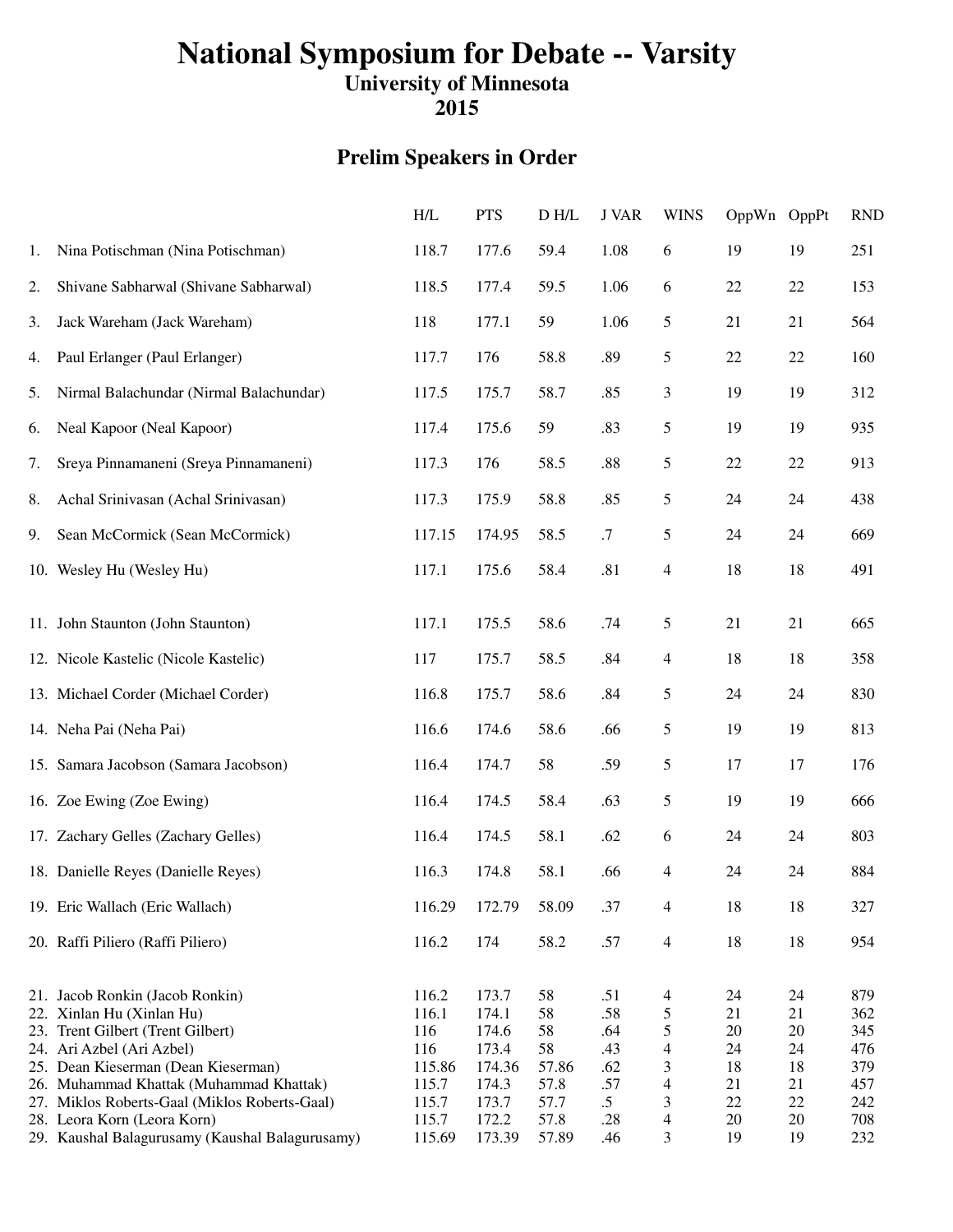# **National Symposium for Debate -- Varsity**

## **University of Minnesota**

**2015**

### **Prelim Speakers in Order**

|    |                                                 | H/L    | <b>PTS</b> | D H/L | <b>J VAR</b> | <b>WINS</b>              | OppWn OppPt |        | <b>RND</b> |
|----|-------------------------------------------------|--------|------------|-------|--------------|--------------------------|-------------|--------|------------|
| 1. | Nina Potischman (Nina Potischman)               | 118.7  | 177.6      | 59.4  | 1.08         | 6                        | 19          | 19     | 251        |
| 2. | Shivane Sabharwal (Shivane Sabharwal)           | 118.5  | 177.4      | 59.5  | 1.06         | 6                        | 22          | 22     | 153        |
| 3. | Jack Wareham (Jack Wareham)                     | 118    | 177.1      | 59    | 1.06         | 5                        | 21          | 21     | 564        |
| 4. | Paul Erlanger (Paul Erlanger)                   | 117.7  | 176        | 58.8  | .89          | 5                        | 22          | 22     | 160        |
| 5. | Nirmal Balachundar (Nirmal Balachundar)         | 117.5  | 175.7      | 58.7  | .85          | 3                        | 19          | 19     | 312        |
| 6. | Neal Kapoor (Neal Kapoor)                       | 117.4  | 175.6      | 59    | .83          | 5                        | 19          | 19     | 935        |
| 7. | Sreya Pinnamaneni (Sreya Pinnamaneni)           | 117.3  | 176        | 58.5  | .88          | 5                        | $22\,$      | 22     | 913        |
| 8. | Achal Srinivasan (Achal Srinivasan)             | 117.3  | 175.9      | 58.8  | .85          | 5                        | 24          | 24     | 438        |
| 9. | Sean McCormick (Sean McCormick)                 | 117.15 | 174.95     | 58.5  | .7           | 5                        | 24          | 24     | 669        |
|    | 10. Wesley Hu (Wesley Hu)                       | 117.1  | 175.6      | 58.4  | .81          | $\overline{4}$           | 18          | 18     | 491        |
|    | 11. John Staunton (John Staunton)               | 117.1  | 175.5      | 58.6  | .74          | 5                        | 21          | 21     | 665        |
|    | 12. Nicole Kastelic (Nicole Kastelic)           | 117    | 175.7      | 58.5  | .84          | 4                        | 18          | 18     | 358        |
|    | 13. Michael Corder (Michael Corder)             | 116.8  | 175.7      | 58.6  | .84          | 5                        | 24          | 24     | 830        |
|    | 14. Neha Pai (Neha Pai)                         | 116.6  | 174.6      | 58.6  | .66          | 5                        | 19          | 19     | 813        |
|    | 15. Samara Jacobson (Samara Jacobson)           | 116.4  | 174.7      | 58    | .59          | 5                        | 17          | 17     | 176        |
|    | 16. Zoe Ewing (Zoe Ewing)                       | 116.4  | 174.5      | 58.4  | .63          | 5                        | 19          | 19     | 666        |
|    | 17. Zachary Gelles (Zachary Gelles)             | 116.4  | 174.5      | 58.1  | .62          | 6                        | 24          | 24     | 803        |
|    | 18. Danielle Reyes (Danielle Reyes)             | 116.3  | 174.8      | 58.1  | .66          | 4                        | 24          | 24     | 884        |
|    | 19. Eric Wallach (Eric Wallach)                 | 116.29 | 172.79     | 58.09 | .37          | 4                        | 18          | $18\,$ | 327        |
|    | 20. Raffi Piliero (Raffi Piliero)               | 116.2  | 174        | 58.2  | .57          | $\overline{4}$           | 18          | 18     | 954        |
|    | 21. Jacob Ronkin (Jacob Ronkin)                 | 116.2  | 173.7      | 58    | .51          | $\overline{\mathcal{A}}$ | 24          | 24     | 879        |
|    | 22. Xinlan Hu (Xinlan Hu)                       | 116.1  | 174.1      | 58    | .58          | 5                        | 21          | 21     | 362        |
|    | 23. Trent Gilbert (Trent Gilbert)               | 116    | 174.6      | 58    | .64          | 5                        | 20          | 20     | 345        |
|    | 24. Ari Azbel (Ari Azbel)                       | 116    | 173.4      | 58    | .43          | $\overline{4}$           | 24          | 24     | 476        |
|    | 25. Dean Kieserman (Dean Kieserman)             | 115.86 | 174.36     | 57.86 | .62          | 3                        | 18          | 18     | 379        |
|    | 26. Muhammad Khattak (Muhammad Khattak)         | 115.7  | 174.3      | 57.8  | .57          | $\overline{\mathcal{L}}$ | 21          | 21     | 457        |
|    | 27. Miklos Roberts-Gaal (Miklos Roberts-Gaal)   | 115.7  | 173.7      | 57.7  | $\cdot$ .5   | 3                        | $22\,$      | 22     | 242        |
|    | 28. Leora Korn (Leora Korn)                     | 115.7  | 172.2      | 57.8  | .28          | 4                        | 20          | 20     | 708        |
|    | 29. Kaushal Balagurusamy (Kaushal Balagurusamy) | 115.69 | 173.39     | 57.89 | .46          | 3                        | 19          | 19     | 232        |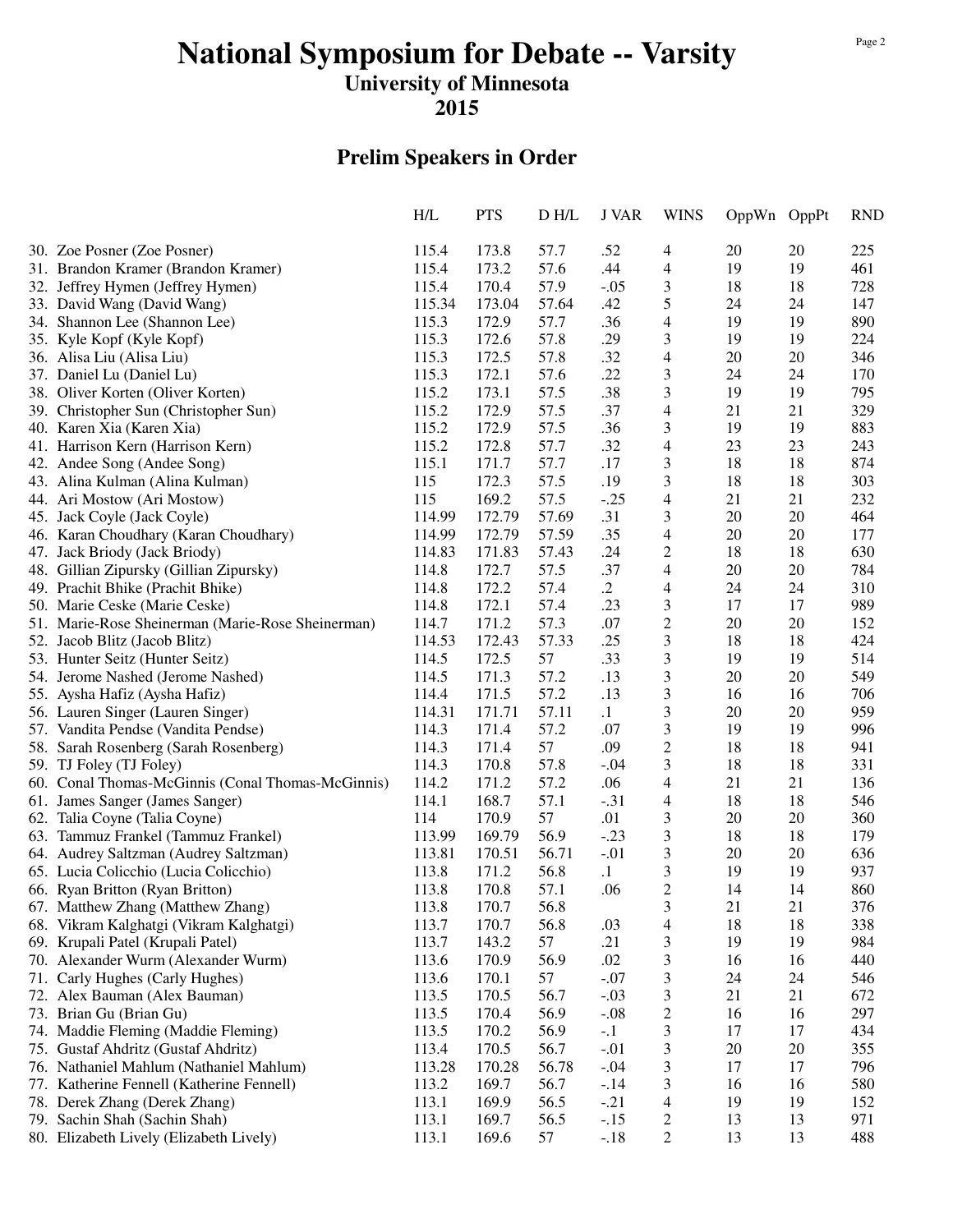# **National Symposium for Debate -- Varsity**

### **University of Minnesota**

**2015**

### **Prelim Speakers in Order**

|                                                   | H/L    | <b>PTS</b> | D H/L | J VAR      | <b>WINS</b>              | OppWn OppPt |    | <b>RND</b> |
|---------------------------------------------------|--------|------------|-------|------------|--------------------------|-------------|----|------------|
| 30. Zoe Posner (Zoe Posner)                       | 115.4  | 173.8      | 57.7  | .52        | 4                        | 20          | 20 | 225        |
| 31. Brandon Kramer (Brandon Kramer)               | 115.4  | 173.2      | 57.6  | .44        | 4                        | 19          | 19 | 461        |
| 32. Jeffrey Hymen (Jeffrey Hymen)                 | 115.4  | 170.4      | 57.9  | $-.05$     | 3                        | 18          | 18 | 728        |
| 33. David Wang (David Wang)                       | 115.34 | 173.04     | 57.64 | .42        | 5                        | 24          | 24 | 147        |
| 34. Shannon Lee (Shannon Lee)                     | 115.3  | 172.9      | 57.7  | .36        | $\overline{4}$           | 19          | 19 | 890        |
| 35. Kyle Kopf (Kyle Kopf)                         | 115.3  | 172.6      | 57.8  | .29        | 3                        | 19          | 19 | 224        |
| 36. Alisa Liu (Alisa Liu)                         | 115.3  | 172.5      | 57.8  | .32        | $\overline{4}$           | 20          | 20 | 346        |
| 37. Daniel Lu (Daniel Lu)                         | 115.3  | 172.1      | 57.6  | .22        | 3                        | 24          | 24 | 170        |
| 38. Oliver Korten (Oliver Korten)                 | 115.2  | 173.1      | 57.5  | .38        | 3                        | 19          | 19 | 795        |
| 39. Christopher Sun (Christopher Sun)             | 115.2  | 172.9      | 57.5  | .37        | $\overline{4}$           | 21          | 21 | 329        |
| 40. Karen Xia (Karen Xia)                         | 115.2  | 172.9      | 57.5  | .36        | 3                        | 19          | 19 | 883        |
| 41. Harrison Kern (Harrison Kern)                 | 115.2  | 172.8      | 57.7  | .32        | $\overline{4}$           | 23          | 23 | 243        |
| 42. Andee Song (Andee Song)                       | 115.1  | 171.7      | 57.7  | .17        | 3                        | 18          | 18 | 874        |
| 43. Alina Kulman (Alina Kulman)                   | 115    | 172.3      | 57.5  | .19        | 3                        | 18          | 18 | 303        |
| 44. Ari Mostow (Ari Mostow)                       | 115    | 169.2      | 57.5  | $-.25$     | $\overline{\mathcal{L}}$ | 21          | 21 | 232        |
| 45. Jack Coyle (Jack Coyle)                       | 114.99 | 172.79     | 57.69 | .31        | 3                        | $20\,$      | 20 | 464        |
| 46. Karan Choudhary (Karan Choudhary)             | 114.99 | 172.79     | 57.59 | .35        | $\overline{4}$           | 20          | 20 | 177        |
| 47. Jack Briody (Jack Briody)                     | 114.83 | 171.83     | 57.43 | .24        | $\overline{c}$           | 18          | 18 | 630        |
| 48. Gillian Zipursky (Gillian Zipursky)           | 114.8  | 172.7      | 57.5  | .37        | $\overline{4}$           | 20          | 20 | 784        |
| 49. Prachit Bhike (Prachit Bhike)                 | 114.8  | 172.2      | 57.4  | $\cdot$ .2 | $\overline{4}$           | 24          | 24 | 310        |
| 50. Marie Ceske (Marie Ceske)                     | 114.8  | 172.1      | 57.4  | .23        | 3                        | 17          | 17 | 989        |
| 51. Marie-Rose Sheinerman (Marie-Rose Sheinerman) | 114.7  | 171.2      | 57.3  | .07        | $\boldsymbol{2}$         | 20          | 20 | 152        |
| 52. Jacob Blitz (Jacob Blitz)                     | 114.53 | 172.43     | 57.33 | .25        | 3                        | 18          | 18 | 424        |
| 53. Hunter Seitz (Hunter Seitz)                   | 114.5  | 172.5      | 57    | .33        | 3                        | 19          | 19 | 514        |
| 54. Jerome Nashed (Jerome Nashed)                 | 114.5  | 171.3      | 57.2  | .13        | 3                        | 20          | 20 | 549        |
| 55. Aysha Hafiz (Aysha Hafiz)                     | 114.4  | 171.5      | 57.2  | .13        | 3                        | 16          | 16 | 706        |
| 56. Lauren Singer (Lauren Singer)                 | 114.31 | 171.71     | 57.11 | $\cdot$ 1  | 3                        | 20          | 20 | 959        |
| 57. Vandita Pendse (Vandita Pendse)               | 114.3  | 171.4      | 57.2  | .07        | 3                        | 19          | 19 | 996        |
| 58. Sarah Rosenberg (Sarah Rosenberg)             | 114.3  | 171.4      | 57    | .09        | $\overline{c}$           | 18          | 18 | 941        |
| 59. TJ Foley (TJ Foley)                           | 114.3  | 170.8      | 57.8  | $-.04$     | 3                        | 18          | 18 | 331        |
| 60. Conal Thomas-McGinnis (Conal Thomas-McGinnis) | 114.2  | 171.2      | 57.2  | .06        | 4                        | 21          | 21 | 136        |
| 61. James Sanger (James Sanger)                   | 114.1  | 168.7      | 57.1  | $-.31$     | 4                        | 18          | 18 | 546        |
| 62. Talia Coyne (Talia Coyne)                     | 114    | 170.9      | 57    | .01        | 3                        | 20          | 20 | 360        |
| 63. Tammuz Frankel (Tammuz Frankel)               | 113.99 | 169.79     | 56.9  | $-.23$     | 3                        | 18          | 18 | 179        |
| 64. Audrey Saltzman (Audrey Saltzman)             | 113.81 | 170.51     | 56.71 | $-.01$     | 3                        | 20          | 20 | 636        |
| 65. Lucia Colicchio (Lucia Colicchio)             | 113.8  | 171.2      | 56.8  | $\cdot$ 1  | 3                        | 19          | 19 | 937        |
| 66. Ryan Britton (Ryan Britton)                   | 113.8  | 170.8      | 57.1  | .06        | $\overline{c}$           | 14          | 14 | 860        |
| 67. Matthew Zhang (Matthew Zhang)                 | 113.8  | 170.7      | 56.8  |            | 3                        | 21          | 21 | 376        |
| 68. Vikram Kalghatgi (Vikram Kalghatgi)           | 113.7  | 170.7      | 56.8  | .03        | $\overline{4}$           | 18          | 18 | 338        |
| 69. Krupali Patel (Krupali Patel)                 | 113.7  | 143.2      | 57    | .21        | 3                        | 19          | 19 | 984        |
| 70. Alexander Wurm (Alexander Wurm)               | 113.6  | 170.9      | 56.9  | .02        | 3                        | 16          | 16 | 440        |
| 71. Carly Hughes (Carly Hughes)                   | 113.6  | 170.1      | 57    | $-.07$     | 3                        | 24          | 24 | 546        |
| 72. Alex Bauman (Alex Bauman)                     | 113.5  | 170.5      | 56.7  | $-.03$     | 3                        | 21          | 21 | 672        |
| 73. Brian Gu (Brian Gu)                           | 113.5  | 170.4      | 56.9  | $-.08$     | 2                        | 16          | 16 | 297        |
| 74. Maddie Fleming (Maddie Fleming)               | 113.5  | 170.2      | 56.9  | $-.1$      | 3                        | 17          | 17 | 434        |
| 75. Gustaf Ahdritz (Gustaf Ahdritz)               | 113.4  | 170.5      | 56.7  | $-.01$     | 3                        | 20          | 20 | 355        |
| 76. Nathaniel Mahlum (Nathaniel Mahlum)           | 113.28 | 170.28     | 56.78 | $-.04$     | 3                        | 17          | 17 | 796        |
| 77. Katherine Fennell (Katherine Fennell)         | 113.2  | 169.7      | 56.7  | $-.14$     | 3                        | 16          | 16 | 580        |
| 78. Derek Zhang (Derek Zhang)                     | 113.1  | 169.9      | 56.5  | $-.21$     | 4                        | 19          | 19 | 152        |
| 79. Sachin Shah (Sachin Shah)                     | 113.1  | 169.7      | 56.5  | $-.15$     | 2                        | 13          | 13 | 971        |
| 80. Elizabeth Lively (Elizabeth Lively)           | 113.1  | 169.6      | 57    | $-.18$     | $\overline{c}$           | 13          | 13 | 488        |
|                                                   |        |            |       |            |                          |             |    |            |